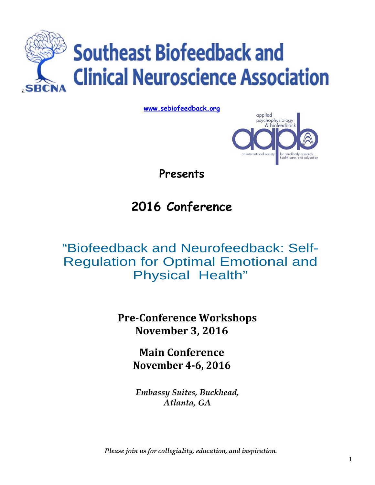

**www.sebiofeedback.org**



**Presents** 

# **2016 Conference**

# "Biofeedback and Neurofeedback: Self-Regulation for Optimal Emotional and Physical Health"

**PreConference Workshops November 3, 2016**

> **Main Conference November 46, 2016**

*Embassy Suites, Buckhead, Atlanta, GA* 

*Please join us for collegiality, education, and inspiration.*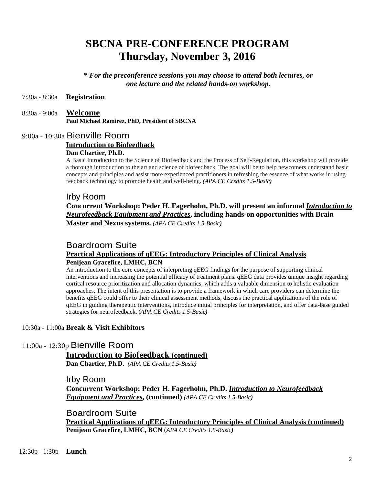## **SBCNA PRE-CONFERENCE PROGRAM Thursday, November 3, 2016**

**\*** *For the preconference sessions you may choose to attend both lectures, or one lecture and the related hands-on workshop.* 

#### 7:30a - 8:30a **Registration**

### 8:30a - 9:00a **Welcome Paul Michael Ramirez, PhD, President of SBCNA**

## 9:00a - 10:30a Bienville Room **Introduction to Biofeedback**

#### **Dan Chartier, Ph.D.**

A Basic Introduction to the Science of Biofeedback and the Process of Self-Regulation, this workshop will provide a thorough introduction to the art and science of biofeedback. The goal will be to help newcomers understand basic concepts and principles and assist more experienced practitioners in refreshing the essence of what works in using feedback technology to promote health and well-being. *(APA CE Credits 1.5-Basic)* 

#### Irby Room

**Concurrent Workshop: Peder H. Fagerholm, Ph.D. will present an informal** *Introduction to Neurofeedback Equipment and Practices***, including hands-on opportunities with Brain Master and Nexus systems.** *(APA CE Credits 1.5-Basic)* 

#### Boardroom Suite

#### **Practical Applications of qEEG: Introductory Principles of Clinical Analysis Penijean Gracefire, LMHC, BCN**

An introduction to the core concepts of interpreting qEEG findings for the purpose of supporting clinical interventions and increasing the potential efficacy of treatment plans. qEEG data provides unique insight regarding cortical resource prioritization and allocation dynamics, which adds a valuable dimension to holistic evaluation approaches. The intent of this presentation is to provide a framework in which care providers can determine the benefits qEEG could offer to their clinical assessment methods, discuss the practical applications of the role of qEEG in guiding therapeutic interventions, introduce initial principles for interpretation, and offer data-base guided strategies for neurofeedback. (*APA CE Credits 1.5-Basic)* 

#### 10:30a - 11:00a **Break & Visit Exhibitors**

#### 11:00a - 12:30p Bienville Room

#### **Introduction to Biofeedback (continued)**

**Dan Chartier, Ph.D.** *(APA CE Credits 1.5-Basic)* 

Irby Room **Concurrent Workshop: Peder H. Fagerholm, Ph.D.** *Introduction to Neurofeedback Equipment and Practices***, (continued)** *(APA CE Credits 1.5-Basic)* 

Boardroom Suite **Practical Applications of qEEG: Introductory Principles of Clinical Analysis (continued) Penijean Gracefire, LMHC, BCN** (*APA CE Credits 1.5-Basic)*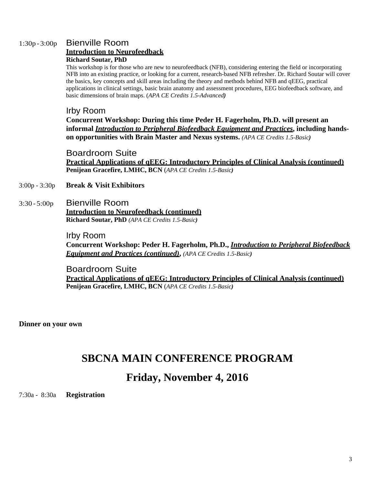## 1:30p - 3:00p Bienville Room

#### **Introduction to Neurofeedback**

#### **Richard Soutar, PhD**

This workshop is for those who are new to neurofeedback (NFB), considering entering the field or incorporating NFB into an existing practice, or looking for a current, research-based NFB refresher. Dr. Richard Soutar will cover the basics, key concepts and skill areas including the theory and methods behind NFB and qEEG, practical applications in clinical settings, basic brain anatomy and assessment procedures, EEG biofeedback software, and basic dimensions of brain maps. (*APA CE Credits 1.5-Advanced)* 

### Irby Room

**Concurrent Workshop: During this time Peder H. Fagerholm, Ph.D. will present an informal** *Introduction to Peripheral Biofeedback Equipment and Practices***, including handson opportunities with Brain Master and Nexus systems.** *(APA CE Credits 1.5-Basic)* 

Boardroom Suite **Practical Applications of qEEG: Introductory Principles of Clinical Analysis (continued) Penijean Gracefire, LMHC, BCN** (*APA CE Credits 1.5-Basic)* 

## 3:00p - 3:30p **Break & Visit Exhibitors**

3:30 - 5:00p Bienville Room **Introduction to Neurofeedback (continued) Richard Soutar, PhD** *(APA CE Credits 1.5-Basic)* 

> Irby Room **Concurrent Workshop: Peder H. Fagerholm, Ph.D.,** *Introduction to Peripheral Biofeedback Equipment and Practices (continued)***,** *(APA CE Credits 1.5-Basic)*

Boardroom Suite **Practical Applications of qEEG: Introductory Principles of Clinical Analysis (continued) Penijean Gracefire, LMHC, BCN** (*APA CE Credits 1.5-Basic)* 

**Dinner on your own** 

## **SBCNA MAIN CONFERENCE PROGRAM**

## **Friday, November 4, 2016**

7:30a - 8:30a **Registration**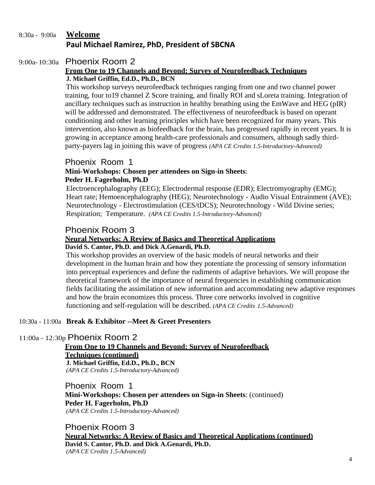## 8:30a - 9:00a **Welcome Paul Michael Ramirez, PhD, President of SBCNA**

#### 9:00a- 10:30a Phoenix Room 2

#### **From One to 19 Channels and Beyond: Survey of Neurofeedback Techniques J. Michael Griffin, Ed.D., Ph.D., BCN**

This workshop surveys neurofeedback techniques ranging from one and two channel power training, four to19 channel Z Score training, and finally ROI and sLoreta training. Integration of ancillary techniques such as instruction in healthy breathing using the EmWave and HEG (pIR) will be addressed and demonstrated. The effectiveness of neurofeedback is based on operant conditioning and other learning principles which have been recognized for many years. This intervention, also known as biofeedback for the brain, has progressed rapidly in recent years. It is growing in acceptance among health-care professionals and consumers, although sadly thirdparty-payers lag in joining this wave of progress *(APA CE Credits 1.5-Introductory-Advanced)* 

## Phoenix Room 1

#### **Mini-Workshops: Chosen per attendees on Sign-in Sheets**: **Peder H. Fagerholm, Ph.D**

Electroencephalography (EEG); Electrodermal response (EDR); Electromyography (EMG); Heart rate; Hemoencephalography (HEG); Neurotechnology - Audio Visual Entrainment (AVE); Neurotechnology - Electrostimulation (CES/tDCS); Neurotechnology - Wild Divine series; Respiration; Temperature. *(APA CE Credits 1.5-Introductory-Advanced)* 

## Phoenix Room 3

#### **Neural Networks: A Review of Basics and Theoretical Applications David S. Cantor, Ph.D. and Dick A.Genardi, Ph.D.**

This workshop provides an overview of the basic models of neural networks and their development in the human brain and how they potentiate the processing of sensory information into perceptual experiences and define the rudiments of adaptive behaviors. We will propose the theoretical framework of the importance of neural frequencies in establishing communication fields facilitating the assimilation of new information and accommodating new adaptive responses and how the brain economizes this process. Three core networks involved in cognitive functioning and self-regulation will be described. *(APA CE Credits 1.5-Advanced)* 

## 10:30a - 11:00a **Break & Exhibitor --Meet & Greet Presenters**

## 11:00a - 12:30p Phoenix Room 2

## **From One to 19 Channels and Beyond: Survey of Neurofeedback Techniques (continued) J. Michael Griffin, Ed.D., Ph.D., BCN**

*(APA CE Credits 1.5-Introductory-Advanced)* 

Phoenix Room 1

**Mini-Workshops: Chosen per attendees on Sign-in Sheets**: (continued) **Peder H. Fagerholm, Ph.D**  *(APA CE Credits 1.5-Introductory-Advanced)* 

Phoenix Room 3 **Neural Networks: A Review of Basics and Theoretical Applications (continued) David S. Cantor, Ph.D. and Dick A.Genardi, Ph.D.**  *(APA CE Credits 1.5-Advanced)*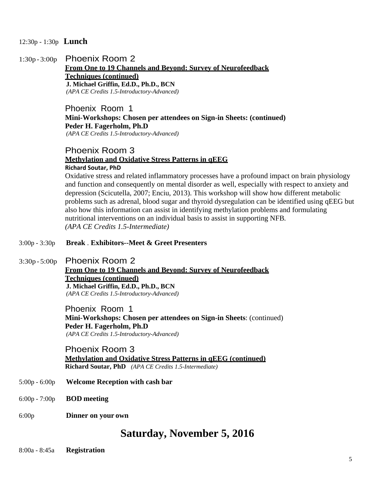- 12:30p 1:30p **Lunch**
- 1:30p 3:00p Phoenix Room 2

**From One to 19 Channels and Beyond: Survey of Neurofeedback Techniques (continued) J. Michael Griffin, Ed.D., Ph.D., BCN**  *(APA CE Credits 1.5-Introductory-Advanced)* 

## Phoenix Room 1 **Mini-Workshops: Chosen per attendees on Sign-in Sheets: (continued) Peder H. Fagerholm, Ph.D**

*(APA CE Credits 1.5-Introductory-Advanced)* 

#### Phoenix Room 3 **Methylation and Oxidative Stress Patterns in qEEG Richard Soutar, PhD**

Oxidative stress and related inflammatory processes have a profound impact on brain physiology and function and consequently on mental disorder as well, especially with respect to anxiety and depression (Scicutella, 2007; Enciu, 2013). This workshop will show how different metabolic problems such as adrenal, blood sugar and thyroid dysregulation can be identified using qEEG but also how this information can assist in identifying methylation problems and formulating nutritional interventions on an individual basis to assist in supporting NFB*. (APA CE Credits 1.5-Intermediate)* 

#### 3:00p - 3:30p **Break** . **Exhibitors--Meet & Greet Presenters**

3:30p - 5:00p Phoenix Room 2

**From One to 19 Channels and Beyond: Survey of Neurofeedback Techniques (continued) J. Michael Griffin, Ed.D., Ph.D., BCN**  *(APA CE Credits 1.5-Introductory-Advanced)* 

Phoenix Room 1 **Mini-Workshops: Chosen per attendees on Sign-in Sheets**: (continued) **Peder H. Fagerholm, Ph.D**  *(APA CE Credits 1.5-Introductory-Advanced)* 

## Phoenix Room 3 **Methylation and Oxidative Stress Patterns in qEEG (continued) Richard Soutar, PhD** *(APA CE Credits 1.5-Intermediate)*

- 5:00p 6:00p **Welcome Reception with cash bar**
- 6:00p 7:00p **BOD meeting**
- 6:00p **Dinner on your own**

## **Saturday, November 5, 2016**

8:00a - 8:45a **Registration**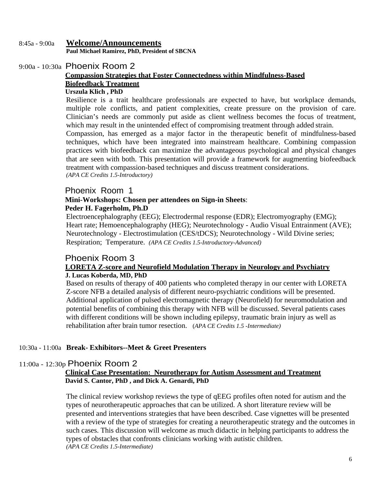### 8:45a - 9:00a **Welcome/Announcements Paul Michael Ramirez, PhD, President of SBCNA**

## 9:00a - 10:30a Phoenix Room 2

## **Compassion Strategies that Foster Connectedness within Mindfulness-Based Biofeedback Treatment**

#### **Urszula Klich , PhD**

Resilience is a trait healthcare professionals are expected to have, but workplace demands, multiple role conflicts, and patient complexities, create pressure on the provision of care. Clinician's needs are commonly put aside as client wellness becomes the focus of treatment, which may result in the unintended effect of compromising treatment through added strain.

Compassion, has emerged as a major factor in the therapeutic benefit of mindfulness-based techniques, which have been integrated into mainstream healthcare. Combining compassion practices with biofeedback can maximize the advantageous psychological and physical changes that are seen with both. This presentation will provide a framework for augmenting biofeedback treatment with compassion-based techniques and discuss treatment considerations. *(APA CE Credits 1.5-Introductory)* 

Phoenix Room 1

#### **Mini-Workshops: Chosen per attendees on Sign-in Sheets**: **Peder H. Fagerholm, Ph.D**

Electroencephalography (EEG); Electrodermal response (EDR); Electromyography (EMG); Heart rate; Hemoencephalography (HEG); Neurotechnology - Audio Visual Entrainment (AVE); Neurotechnology - Electrostimulation (CES/tDCS); Neurotechnology - Wild Divine series; Respiration; Temperature. *(APA CE Credits 1.5-Introductory-Advanced)* 

## Phoenix Room 3

## **LORETA Z-score and Neurofield Modulation Therapy in Neurology and Psychiatry J. Lucas Koberda, MD, PhD**

Based on results of therapy of 400 patients who completed therapy in our center with LORETA Z-score NFB a detailed analysis of different neuro-psychiatric conditions will be presented. Additional application of pulsed electromagnetic therapy (Neurofield) for neuromodulation and potential benefits of combining this therapy with NFB will be discussed. Several patients cases with different conditions will be shown including epilepsy, traumatic brain injury as well as rehabilitation after brain tumor resection. (*APA CE Credits 1.5 -Intermediate)* 

## 10:30a - 11:00a **Break- Exhibitors--Meet & Greet Presenters**

## 11:00a - 12:30p Phoenix Room 2

#### **Clinical Case Presentation: Neurotherapy for Autism Assessment and Treatment David S. Cantor, PhD , and Dick A. Genardi, PhD**

The clinical review workshop reviews the type of qEEG profiles often noted for autism and the types of neurotherapeutic approaches that can be utilized. A short literature review will be presented and interventions strategies that have been described. Case vignettes will be presented with a review of the type of strategies for creating a neurotherapeutic strategy and the outcomes in such cases. This discussion will welcome as much didactic in helping participants to address the types of obstacles that confronts clinicians working with autistic children. *(APA CE Credits 1.5-Intermediate)*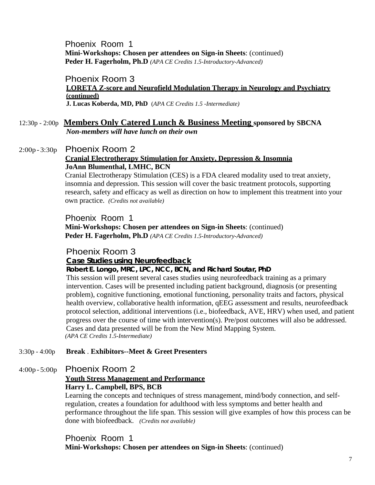Phoenix Room 1 **Mini-Workshops: Chosen per attendees on Sign-in Sheets**: (continued) **Peder H. Fagerholm, Ph.D** *(APA CE Credits 1.5-Introductory-Advanced)* 

#### Phoenix Room 3 **LORETA Z-score and Neurofield Modulation Therapy in Neurology and Psychiatry (continued) J. Lucas Koberda, MD, PhD** (*APA CE Credits 1.5 -Intermediate)*

## 12:30p - 2:00p **Members Only Catered Lunch & Business Meeting sponsored by SBCNA**

*Non-members will have lunch on their own* 

## 2:00p - 3:30p Phoenix Room 2 **Cranial Electrotherapy Stimulation for Anxiety, Depression & Insomnia JoAnn Blumenthal, LMHC, BCN**

Cranial Electrotherapy Stimulation (CES) is a FDA cleared modality used to treat anxiety, insomnia and depression. This session will cover the basic treatment protocols, supporting research, safety and efficacy as well as direction on how to implement this treatment into your own practice. *(Credits not available)* 

## Phoenix Room 1 **Mini-Workshops: Chosen per attendees on Sign-in Sheets**: (continued) **Peder H. Fagerholm, Ph.D** *(APA CE Credits 1.5-Introductory-Advanced)*

## Phoenix Room 3

## **Case Studies using Neurofeedback**

## **Robert E. Longo, MRC, LPC, NCC, BCN, and Richard Soutar, PhD**

This session will present several cases studies using neurofeedback training as a primary intervention. Cases will be presented including patient background, diagnosis (or presenting problem), cognitive functioning, emotional functioning, personality traits and factors, physical health overview, collaborative health information, qEEG assessment and results, neurofeedback protocol selection, additional interventions (i.e., biofeedback, AVE, HRV) when used, and patient progress over the course of time with intervention(s). Pre/post outcomes will also be addressed. Cases and data presented will be from the New Mind Mapping System. *(APA CE Credits 1.5-Intermediate)* 

## 3:30p - 4:00p **Break** . **Exhibitors--Meet & Greet Presenters**

## 4:00p - 5:00p Phoenix Room 2

## **Youth Stress Management and Performance**

**Harry L. Campbell, BPS, BCB** 

Learning the concepts and techniques of stress management, mind/body connection, and selfregulation, creates a foundation for adulthood with less symptoms and better health and performance throughout the life span. This session will give examples of how this process can be done with biofeedback. *(Credits not available)* 

## Phoenix Room 1 **Mini-Workshops: Chosen per attendees on Sign-in Sheets**: (continued)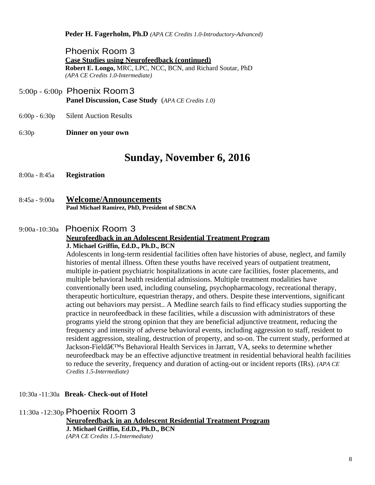**Peder H. Fagerholm, Ph.D** *(APA CE Credits 1.0-Introductory-Advanced)* 

Phoenix Room 3 **Case Studies using Neurofeedback (continued) Robert E. Longo,** MRC, LPC, NCC, BCN, and Richard Soutar, PhD *(APA CE Credits 1.0-Intermediate)* 

- 5:00p 6:00p Phoenix Room 3 **Panel Discussion, Case Study** (*APA CE Credits 1.0)*
- 6:00p 6:30p Silent Auction Results
- 6:30p **Dinner on your own**

## **Sunday, November 6, 2016**

- 8:00a 8:45a **Registration**
- 8:45a 9:00a **Welcome/Announcements Paul Michael Ramirez, PhD, President of SBCNA**

#### 9:00a -10:30a Phoenix Room 3 **Neurofeedback in an Adolescent Residential Treatment Program J. Michael Griffin, Ed.D., Ph.D., BCN**

Adolescents in long-term residential facilities often have histories of abuse, neglect, and family histories of mental illness. Often these youths have received years of outpatient treatment, multiple in-patient psychiatric hospitalizations in acute care facilities, foster placements, and multiple behavioral health residential admissions. Multiple treatment modalities have conventionally been used, including counseling, psychopharmacology, recreational therapy, therapeutic horticulture, equestrian therapy, and others. Despite these interventions, significant acting out behaviors may persist.. A Medline search fails to find efficacy studies supporting the practice in neurofeedback in these facilities, while a discussion with administrators of these programs yield the strong opinion that they are beneficial adjunctive treatment, reducing the frequency and intensity of adverse behavioral events, including aggression to staff, resident to resident aggression, stealing, destruction of property, and so-on. The current study, performed at Jackson-Fieldâ€<sup>M</sup>s Behavioral Health Services in Jarratt, VA, seeks to determine whether neurofeedback may be an effective adjunctive treatment in residential behavioral health facilities to reduce the severity, frequency and duration of acting-out or incident reports (IRs). *(APA CE Credits 1.5-Intermediate)* 

#### 10:30a -11:30a **Break- Check-out of Hotel**

11:30a -12:30p Phoenix Room 3

#### **Neurofeedback in an Adolescent Residential Treatment Program J. Michael Griffin, Ed.D., Ph.D., BCN**  *(APA CE Credits 1.5-Intermediate)*